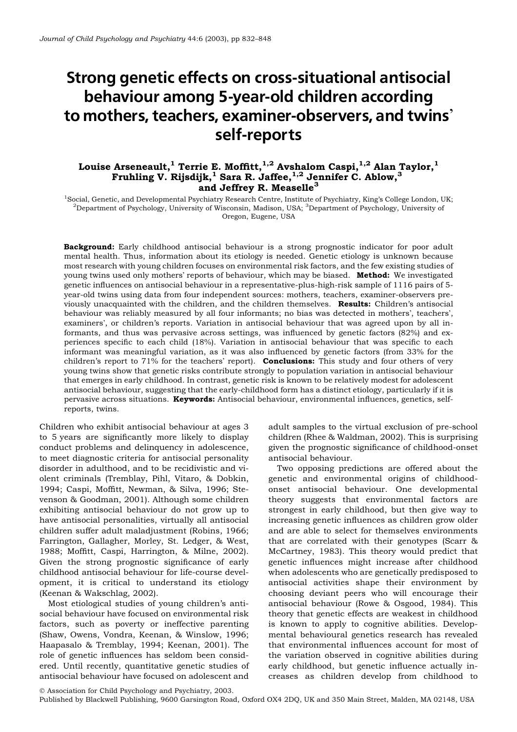# Strong genetic effects on cross-situational antisocial behaviour among 5-year-old children according to mothers, teachers, examiner-observers, and twins self-reports

# Louise Arseneault, $^1$  Terrie E. Moffitt, $^{1,2}$  Avshalom Caspi, $^{1,2}$  Alan Taylor, $^1$ Fruhling V. Rijsdijk, $^1$  Sara R. Jaffee, $^{1,2}$  Jennifer C. Ablow, $^3$ and Jeffrey R. Measelle<sup>3</sup>

<sup>1</sup> Social, Genetic, and Developmental Psychiatry Research Centre, Institute of Psychiatry, King's College London, UK;  $^2$ Department of Psychology, University of Wisconsin, Madison, USA;  $^3$ Department of Psychology, University of Oregon, Eugene, USA

**Background:** Early childhood antisocial behaviour is a strong prognostic indicator for poor adult mental health. Thus, information about its etiology is needed. Genetic etiology is unknown because most research with young children focuses on environmental risk factors, and the few existing studies of young twins used only mothers' reports of behaviour, which may be biased. **Method:** We investigated genetic influences on antisocial behaviour in a representative-plus-high-risk sample of 1116 pairs of 5 year-old twins using data from four independent sources: mothers, teachers, examiner-observers previously unacquainted with the children, and the children themselves. Results: Children's antisocial behaviour was reliably measured by all four informants; no bias was detected in mothers', teachers', examiners', or children's reports. Variation in antisocial behaviour that was agreed upon by all informants, and thus was pervasive across settings, was influenced by genetic factors (82%) and experiences specific to each child (18%). Variation in antisocial behaviour that was specific to each informant was meaningful variation, as it was also influenced by genetic factors (from 33% for the children's report to 71% for the teachers' report). Conclusions: This study and four others of very young twins show that genetic risks contribute strongly to population variation in antisocial behaviour that emerges in early childhood. In contrast, genetic risk is known to be relatively modest for adolescent antisocial behaviour, suggesting that the early-childhood form has a distinct etiology, particularly if it is pervasive across situations. Keywords: Antisocial behaviour, environmental influences, genetics, selfreports, twins.

Children who exhibit antisocial behaviour at ages 3 to 5 years are significantly more likely to display conduct problems and delinquency in adolescence, to meet diagnostic criteria for antisocial personality disorder in adulthood, and to be recidivistic and violent criminals (Tremblay, Pihl, Vitaro, & Dobkin, 1994; Caspi, Moffitt, Newman, & Silva, 1996; Stevenson & Goodman, 2001). Although some children exhibiting antisocial behaviour do not grow up to have antisocial personalities, virtually all antisocial children suffer adult maladjustment (Robins, 1966; Farrington, Gallagher, Morley, St. Ledger, & West, 1988; Moffitt, Caspi, Harrington, & Milne, 2002). Given the strong prognostic significance of early childhood antisocial behaviour for life-course development, it is critical to understand its etiology (Keenan & Wakschlag, 2002).

Most etiological studies of young children's antisocial behaviour have focused on environmental risk factors, such as poverty or ineffective parenting (Shaw, Owens, Vondra, Keenan, & Winslow, 1996; Haapasalo & Tremblay, 1994; Keenan, 2001). The role of genetic influences has seldom been considered. Until recently, quantitative genetic studies of antisocial behaviour have focused on adolescent and adult samples to the virtual exclusion of pre-school children (Rhee & Waldman, 2002). This is surprising given the prognostic significance of childhood-onset antisocial behaviour.

Two opposing predictions are offered about the genetic and environmental origins of childhoodonset antisocial behaviour. One developmental theory suggests that environmental factors are strongest in early childhood, but then give way to increasing genetic influences as children grow older and are able to select for themselves environments that are correlated with their genotypes (Scarr & McCartney, 1983). This theory would predict that genetic influences might increase after childhood when adolescents who are genetically predisposed to antisocial activities shape their environment by choosing deviant peers who will encourage their antisocial behaviour (Rowe & Osgood, 1984). This theory that genetic effects are weakest in childhood is known to apply to cognitive abilities. Developmental behavioural genetics research has revealed that environmental influences account for most of the variation observed in cognitive abilities during early childhood, but genetic influence actually increases as children develop from childhood to

Association for Child Psychology and Psychiatry, 2003.

Published by Blackwell Publishing, 9600 Garsington Road, Oxford OX4 2DQ, UK and 350 Main Street, Malden, MA 02148, USA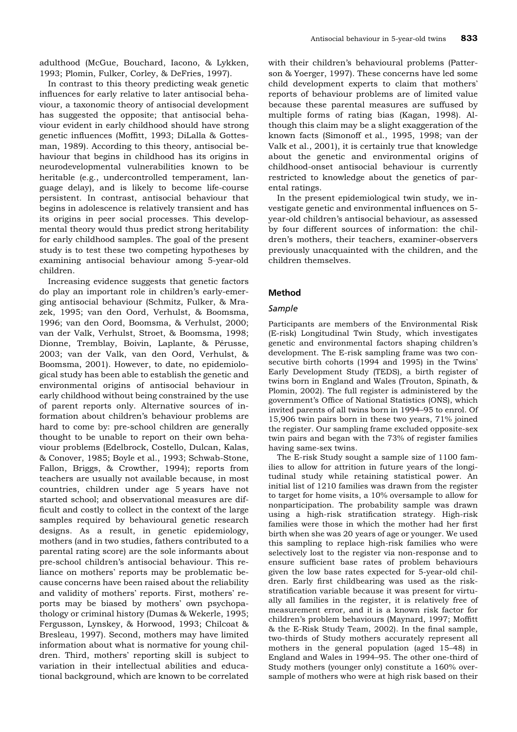adulthood (McGue, Bouchard, Iacono, & Lykken, 1993; Plomin, Fulker, Corley, & DeFries, 1997).

In contrast to this theory predicting weak genetic influences for early relative to later antisocial behaviour, a taxonomic theory of antisocial development has suggested the opposite; that antisocial behaviour evident in early childhood should have strong genetic influences (Moffitt, 1993; DiLalla & Gottesman, 1989). According to this theory, antisocial behaviour that begins in childhood has its origins in neurodevelopmental vulnerabilities known to be heritable (e.g., undercontrolled temperament, language delay), and is likely to become life-course persistent. In contrast, antisocial behaviour that begins in adolescence is relatively transient and has its origins in peer social processes. This developmental theory would thus predict strong heritability for early childhood samples. The goal of the present study is to test these two competing hypotheses by examining antisocial behaviour among 5-year-old children.

Increasing evidence suggests that genetic factors do play an important role in children's early-emerging antisocial behaviour (Schmitz, Fulker, & Mrazek, 1995; van den Oord, Verhulst, & Boomsma, 1996; van den Oord, Boomsma, & Verhulst, 2000; van der Valk, Verhulst, Stroet, & Boomsma, 1998; Dionne, Tremblay, Boivin, Laplante, & Pérusse, 2003; van der Valk, van den Oord, Verhulst, & Boomsma, 2001). However, to date, no epidemiological study has been able to establish the genetic and environmental origins of antisocial behaviour in early childhood without being constrained by the use of parent reports only. Alternative sources of information about children's behaviour problems are hard to come by: pre-school children are generally thought to be unable to report on their own behaviour problems (Edelbrock, Costello, Dulcan, Kalas, & Conover, 1985; Boyle et al., 1993; Schwab-Stone, Fallon, Briggs, & Crowther, 1994); reports from teachers are usually not available because, in most countries, children under age 5 years have not started school; and observational measures are difficult and costly to collect in the context of the large samples required by behavioural genetic research designs. As a result, in genetic epidemiology, mothers (and in two studies, fathers contributed to a parental rating score) are the sole informants about pre-school children's antisocial behaviour. This reliance on mothers' reports may be problematic because concerns have been raised about the reliability and validity of mothers' reports. First, mothers' reports may be biased by mothers' own psychopathology or criminal history (Dumas & Wekerle, 1995; Fergusson, Lynskey, & Horwood, 1993; Chilcoat & Bresleau, 1997). Second, mothers may have limited information about what is normative for young children. Third, mothers' reporting skill is subject to variation in their intellectual abilities and educational background, which are known to be correlated with their children's behavioural problems (Patterson & Yoerger, 1997). These concerns have led some child development experts to claim that mothers reports of behaviour problems are of limited value because these parental measures are suffused by multiple forms of rating bias (Kagan, 1998). Although this claim may be a slight exaggeration of the known facts (Simonoff et al., 1995, 1998; van der Valk et al., 2001), it is certainly true that knowledge about the genetic and environmental origins of childhood-onset antisocial behaviour is currently restricted to knowledge about the genetics of parental ratings.

In the present epidemiological twin study, we investigate genetic and environmental influences on 5 year-old children's antisocial behaviour, as assessed by four different sources of information: the children's mothers, their teachers, examiner-observers previously unacquainted with the children, and the children themselves.

## Method

#### Sample

Participants are members of the Environmental Risk (E-risk) Longitudinal Twin Study, which investigates genetic and environmental factors shaping children's development. The E-risk sampling frame was two consecutive birth cohorts (1994 and 1995) in the Twins Early Development Study (TEDS), a birth register of twins born in England and Wales (Trouton, Spinath, & Plomin, 2002). The full register is administered by the government's Office of National Statistics (ONS), which invited parents of all twins born in 1994–95 to enrol. Of 15,906 twin pairs born in these two years, 71% joined the register. Our sampling frame excluded opposite-sex twin pairs and began with the 73% of register families having same-sex twins.

The E-risk Study sought a sample size of 1100 families to allow for attrition in future years of the longitudinal study while retaining statistical power. An initial list of 1210 families was drawn from the register to target for home visits, a 10% oversample to allow for nonparticipation. The probability sample was drawn using a high-risk stratification strategy. High-risk families were those in which the mother had her first birth when she was 20 years of age or younger. We used this sampling to replace high-risk families who were selectively lost to the register via non-response and to ensure sufficient base rates of problem behaviours given the low base rates expected for 5-year-old children. Early first childbearing was used as the riskstratification variable because it was present for virtually all families in the register, it is relatively free of measurement error, and it is a known risk factor for children's problem behaviours (Maynard, 1997; Moffitt & the E-Risk Study Team, 2002). In the final sample, two-thirds of Study mothers accurately represent all mothers in the general population (aged 15–48) in England and Wales in 1994–95. The other one-third of Study mothers (younger only) constitute a 160% oversample of mothers who were at high risk based on their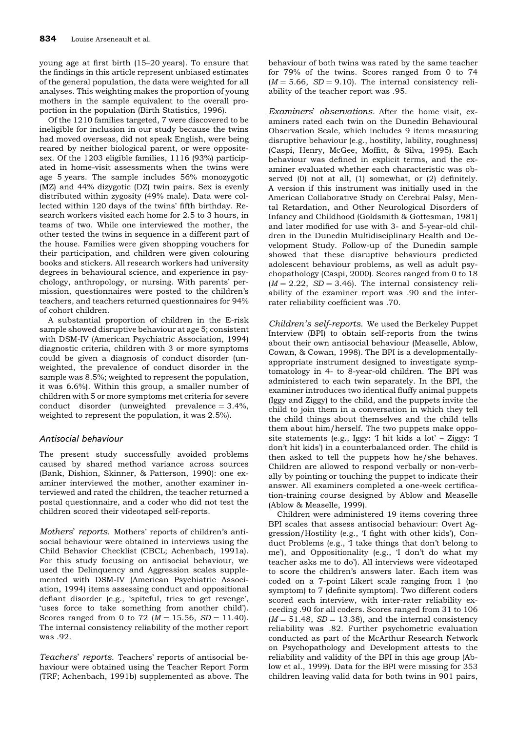young age at first birth (15–20 years). To ensure that the findings in this article represent unbiased estimates of the general population, the data were weighted for all analyses. This weighting makes the proportion of young mothers in the sample equivalent to the overall proportion in the population (Birth Statistics, 1996).

Of the 1210 families targeted, 7 were discovered to be ineligible for inclusion in our study because the twins had moved overseas, did not speak English, were being reared by neither biological parent, or were oppositesex. Of the 1203 eligible families, 1116 (93%) participated in home-visit assessments when the twins were age 5 years. The sample includes 56% monozygotic (MZ) and 44% dizygotic (DZ) twin pairs. Sex is evenly distributed within zygosity (49% male). Data were collected within 120 days of the twins' fifth birthday. Research workers visited each home for 2.5 to 3 hours, in teams of two. While one interviewed the mother, the other tested the twins in sequence in a different part of the house. Families were given shopping vouchers for their participation, and children were given colouring books and stickers. All research workers had university degrees in behavioural science, and experience in psychology, anthropology, or nursing. With parents' permission, questionnaires were posted to the children's teachers, and teachers returned questionnaires for 94% of cohort children.

A substantial proportion of children in the E-risk sample showed disruptive behaviour at age 5; consistent with DSM-IV (American Psychiatric Association, 1994) diagnostic criteria, children with 3 or more symptoms could be given a diagnosis of conduct disorder (unweighted, the prevalence of conduct disorder in the sample was 8.5%; weighted to represent the population, it was 6.6%). Within this group, a smaller number of children with 5 or more symptoms met criteria for severe conduct disorder (unweighted prevalence  $= 3.4\%$ , weighted to represent the population, it was 2.5%).

## Antisocial behaviour

The present study successfully avoided problems caused by shared method variance across sources (Bank, Dishion, Skinner, & Patterson, 1990): one examiner interviewed the mother, another examiner interviewed and rated the children, the teacher returned a postal questionnaire, and a coder who did not test the children scored their videotaped self-reports.

Mothers' reports. Mothers' reports of children's antisocial behaviour were obtained in interviews using the Child Behavior Checklist (CBCL; Achenbach, 1991a). For this study focusing on antisocial behaviour, we used the Delinquency and Aggression scales supplemented with DSM-IV (American Psychiatric Association, 1994) items assessing conduct and oppositional defiant disorder (e.g., 'spiteful, tries to get revenge', 'uses force to take something from another child'). Scores ranged from 0 to 72 ( $M = 15.56$ ,  $SD = 11.40$ ). The internal consistency reliability of the mother report was .92.

Teachers' reports. Teachers' reports of antisocial behaviour were obtained using the Teacher Report Form (TRF; Achenbach, 1991b) supplemented as above. The behaviour of both twins was rated by the same teacher for 79% of the twins. Scores ranged from 0 to 74  $(M = 5.66, SD = 9.10)$ . The internal consistency reliability of the teacher report was .95.

Examiners' observations. After the home visit, examiners rated each twin on the Dunedin Behavioural Observation Scale, which includes 9 items measuring disruptive behaviour (e.g., hostility, lability, roughness) (Caspi, Henry, McGee, Moffitt, & Silva, 1995). Each behaviour was defined in explicit terms, and the examiner evaluated whether each characteristic was observed (0) not at all, (1) somewhat, or (2) definitely. A version if this instrument was initially used in the American Collaborative Study on Cerebral Palsy, Mental Retardation, and Other Neurological Disorders of Infancy and Childhood (Goldsmith & Gottesman, 1981) and later modified for use with 3- and 5-year-old children in the Dunedin Multidisciplinary Health and Development Study. Follow-up of the Dunedin sample showed that these disruptive behaviours predicted adolescent behaviour problems, as well as adult psychopathology (Caspi, 2000). Scores ranged from 0 to 18  $(M = 2.22, SD = 3.46)$ . The internal consistency reliability of the examiner report was .90 and the interrater reliability coefficient was .70.

Children's self-reports. We used the Berkeley Puppet Interview (BPI) to obtain self-reports from the twins about their own antisocial behaviour (Measelle, Ablow, Cowan, & Cowan, 1998). The BPI is a developmentallyappropriate instrument designed to investigate symptomatology in 4- to 8-year-old children. The BPI was administered to each twin separately. In the BPI, the examiner introduces two identical fluffy animal puppets (Iggy and Ziggy) to the child, and the puppets invite the child to join them in a conversation in which they tell the child things about themselves and the child tells them about him/herself. The two puppets make opposite statements (e.g., Iggy: 'I hit kids a lot' – Ziggy: 'I don't hit kids) in a counterbalanced order. The child is then asked to tell the puppets how he/she behaves. Children are allowed to respond verbally or non-verbally by pointing or touching the puppet to indicate their answer. All examiners completed a one-week certification-training course designed by Ablow and Measelle (Ablow & Measelle, 1999).

Children were administered 19 items covering three BPI scales that assess antisocial behaviour: Overt Aggression/Hostility (e.g., 'I fight with other kids'), Conduct Problems (e.g., 'I take things that don't belong to me'), and Oppositionality (e.g., 'I don't do what my teacher asks me to do). All interviews were videotaped to score the children's answers later. Each item was coded on a 7-point Likert scale ranging from 1 (no symptom) to 7 (definite symptom). Two different coders scored each interview, with inter-rater reliability exceeding .90 for all coders. Scores ranged from 31 to 106  $(M = 51.48, SD = 13.38)$ , and the internal consistency reliability was .82. Further psychometric evaluation conducted as part of the McArthur Research Network on Psychopathology and Development attests to the reliability and validity of the BPI in this age group (Ablow et al., 1999). Data for the BPI were missing for 353 children leaving valid data for both twins in 901 pairs,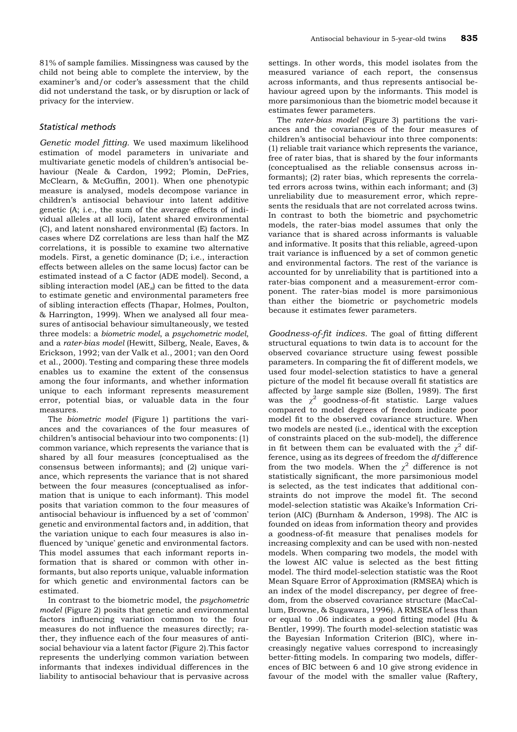81% of sample families. Missingness was caused by the child not being able to complete the interview, by the examiner's and/or coder's assessment that the child did not understand the task, or by disruption or lack of privacy for the interview.

# Statistical methods

Genetic model fitting. We used maximum likelihood estimation of model parameters in univariate and multivariate genetic models of children's antisocial behaviour (Neale & Cardon, 1992; Plomin, DeFries, McClearn, & McGuffin, 2001). When one phenotypic measure is analysed, models decompose variance in children's antisocial behaviour into latent additive genetic (A; i.e., the sum of the average effects of individual alleles at all loci), latent shared environmental (C), and latent nonshared environmental (E) factors. In cases where DZ correlations are less than half the MZ correlations, it is possible to examine two alternative models. First, a genetic dominance (D; i.e., interaction effects between alleles on the same locus) factor can be estimated instead of a C factor (ADE model). Second, a sibling interaction model  $(AE<sub>s</sub>)$  can be fitted to the data to estimate genetic and environmental parameters free of sibling interaction effects (Thapar, Holmes, Poulton, & Harrington, 1999). When we analysed all four measures of antisocial behaviour simultaneously, we tested three models: a biometric model, a psychometric model, and a rater-bias model (Hewitt, Silberg, Neale, Eaves, & Erickson, 1992; van der Valk et al., 2001; van den Oord et al., 2000). Testing and comparing these three models enables us to examine the extent of the consensus among the four informants, and whether information unique to each informant represents measurement error, potential bias, or valuable data in the four measures.

The biometric model (Figure 1) partitions the variances and the covariances of the four measures of children's antisocial behaviour into two components: (1) common variance, which represents the variance that is shared by all four measures (conceptualised as the consensus between informants); and (2) unique variance, which represents the variance that is not shared between the four measures (conceptualised as information that is unique to each informant). This model posits that variation common to the four measures of antisocial behaviour is influenced by a set of 'common' genetic and environmental factors and, in addition, that the variation unique to each four measures is also influenced by 'unique' genetic and environmental factors. This model assumes that each informant reports information that is shared or common with other informants, but also reports unique, valuable information for which genetic and environmental factors can be estimated.

In contrast to the biometric model, the psychometric model (Figure 2) posits that genetic and environmental factors influencing variation common to the four measures do not influence the measures directly; rather, they influence each of the four measures of antisocial behaviour via a latent factor (Figure 2).This factor represents the underlying common variation between informants that indexes individual differences in the liability to antisocial behaviour that is pervasive across

settings. In other words, this model isolates from the measured variance of each report, the consensus across informants, and thus represents antisocial behaviour agreed upon by the informants. This model is more parsimonious than the biometric model because it estimates fewer parameters.

The rater-bias model (Figure 3) partitions the variances and the covariances of the four measures of children's antisocial behaviour into three components: (1) reliable trait variance which represents the variance, free of rater bias, that is shared by the four informants (conceptualised as the reliable consensus across informants); (2) rater bias, which represents the correlated errors across twins, within each informant; and (3) unreliability due to measurement error, which represents the residuals that are not correlated across twins. In contrast to both the biometric and psychometric models, the rater-bias model assumes that only the variance that is shared across informants is valuable and informative. It posits that this reliable, agreed-upon trait variance is influenced by a set of common genetic and environmental factors. The rest of the variance is accounted for by unreliability that is partitioned into a rater-bias component and a measurement-error component. The rater-bias model is more parsimonious than either the biometric or psychometric models because it estimates fewer parameters.

Goodness-of-fit indices. The goal of fitting different structural equations to twin data is to account for the observed covariance structure using fewest possible parameters. In comparing the fit of different models, we used four model-selection statistics to have a general picture of the model fit because overall fit statistics are affected by large sample size (Bollen, 1989). The first was the  $\chi^2$  goodness-of-fit statistic. Large values compared to model degrees of freedom indicate poor model fit to the observed covariance structure. When two models are nested (i.e., identical with the exception of constraints placed on the sub-model), the difference in fit between them can be evaluated with the  $\chi^2$  difference, using as its degrees of freedom the df difference from the two models. When the  $\chi^2$  difference is not statistically significant, the more parsimonious model is selected, as the test indicates that additional constraints do not improve the model fit. The second model-selection statistic was Akaike's Information Criterion (AIC) (Burnham & Anderson, 1998). The AIC is founded on ideas from information theory and provides a goodness-of-fit measure that penalises models for increasing complexity and can be used with non-nested models. When comparing two models, the model with the lowest AIC value is selected as the best fitting model. The third model-selection statistic was the Root Mean Square Error of Approximation (RMSEA) which is an index of the model discrepancy, per degree of freedom, from the observed covariance structure (MacCallum, Browne, & Sugawara, 1996). A RMSEA of less than or equal to .06 indicates a good fitting model (Hu & Bentler, 1999). The fourth model-selection statistic was the Bayesian Information Criterion (BIC), where increasingly negative values correspond to increasingly better-fitting models. In comparing two models, differences of BIC between 6 and 10 give strong evidence in favour of the model with the smaller value (Raftery,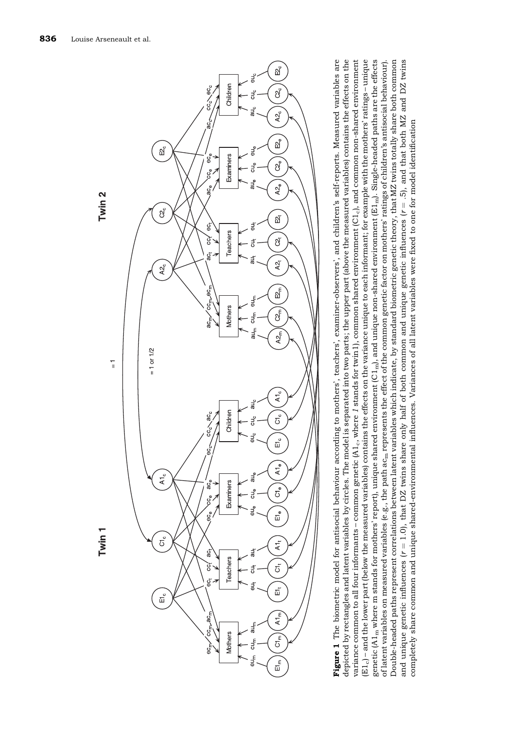



 $\mathbb{Z}^{\circ}$ 

ā

Figure 1 The biometric model for antisocial behaviour according to mothers', teachers', examiner-observers', and children's self-reports. Measured variables are depicted by rectangles and latent variables by circles. The model is separated into two parts; the upper part (above the measured variables) contains the effects on the variance common to all four informants – common genetic (A1<sub>c</sub>, where 1 stands for twin1), common shared environment (C1<sub>c</sub>), and common non-shared environment  $E1_c$ ) – and the lower part (below the measured variables) contains the effects on the variance unique to each informant; for example with the mothers' ratings – unique genetic (A1<sub>m</sub> where m stands for mothers' report), unique shared environment (C1<sub>m</sub>), and unique non-shared environment (E1<sub>m</sub>). Single-headed paths are the effects Double-headed paths represent correlations between latent variables which indicate, by standard biometric genetic theory, that MZ twins totally share both common Figure 1 The biometric model for antisocial behaviour according to mothers, teachers, examiner-observers, and children's self-reports. Measured variables are depicted by rectangles and latent variables by circles. The model is separated into two parts; the upper part (above the measured variables) contains the effects on the variance common to all four informants – common genetic (A1<sub>c</sub>, where 1 stands for twin1), common shared environment (C1<sub>c</sub>), and common non-shared environment  $|E_1|$  – and the lower part (below the measured variables) contains the effects on the variance unique to each informant; for example with the mothers' ratings – unique genetic (A1<sub>m</sub> where m stands for mothers' report), unique shared environment (C1<sub>m)</sub>, and unique non-shared environment (E1<sub>m</sub>). Single-headed paths are the effects of latent variables on measured variables (e.g., the path ac<sub>m</sub> represents the effect of the common genetic factor on mothers' ratings of children's antisocial behaviour). Double-headed paths represent correlations between latent variables which indicate, by standard biometric genetic theory, that MZ twins totally share both common and unique genetic influences ( $r = 1.0$ ), that DZ twins share only half of both common and unique genetic influences ( $r = .5$ ), and that both MZ and DZ twins and unique genetic influences ( $r = 1.0$ ), that DZ twins share only half of both common and unique genetic influences ( $r = .5$ ), and that both MZ and DZ twins of latent variables on measured variables (e.g., the path ac<sub>m</sub> represents the effect of the common genetic factor on mothers' ratings of children's antisocial behaviour). completely share common and unique shared-environmental influences. Variances of all latent variables were fixed to one for model identification completely share common and unique shared-environmental influences. Variances of all latent variables were fixed to one for model identification

Twin<sub>2</sub>

Twin 1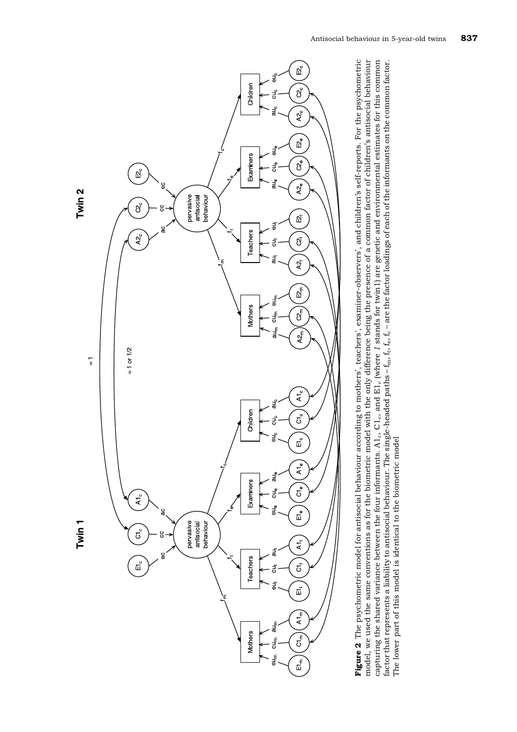

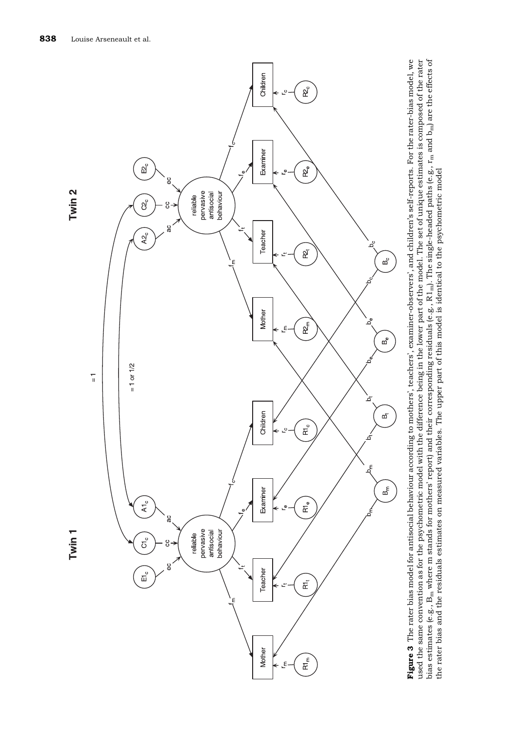

bias estimates (e.g., B<sub>m</sub> where m stands for mothers' report) and their corresponding residuals (e.g., R1<sub>m</sub>). The single-headed paths (e.g., r<sub>m</sub> and b<sub>m</sub>) are the effects of<br>the rater bias and the residuals estimates o Figure 3 The rater bias model for antisocial behaviour according to mothers', teachers', examiner-observers', and children's self-reports. For the rater-bias model, we used the same convention as for the psychometric model with the difference being in the lower part of the model. The set of unique estimates is composed of the rater bias estimates (e.g., B<sub>m</sub> where m stands for mothers' report) and their corresponding residuals (e.g., R1<sub>m</sub>). The single-headed paths (e.g., r<sub>m</sub> and b<sub>m</sub>) are the effects of Figure 3 The rater bias model for antisocial behaviour according to mothers, teachers, examiner-observers, and children's self-reports. For the rater-bias model, we used the same convention as for the psychometric model with the difference being in the lower part of the model. The set of unique estimates is composed of the rater the rater bias and the residuals estimates on measured variables. The upper part of this model is identical to the psychometric model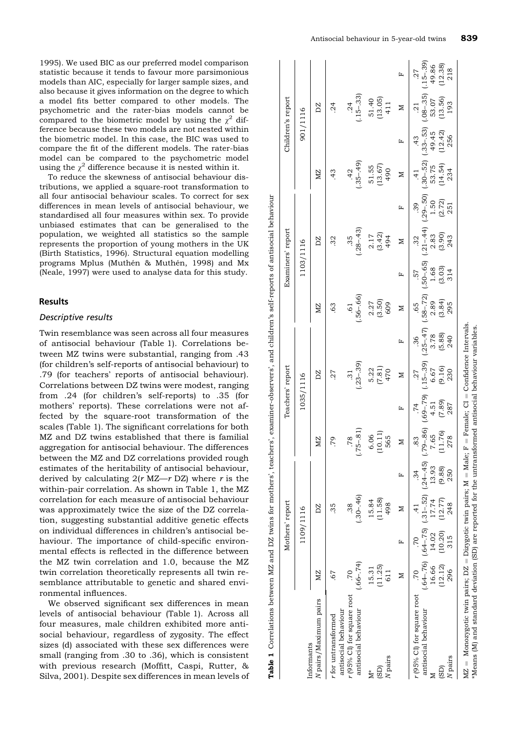1995). We used BIC as our preferred model comparison statistic because it tends to favour more parsimonious models than AIC, especially for larger sample sizes, and also because it gives information on the degree to which a model fits better compared to other models. The psychometric and the rater-bias models cannot be compared to the biometric model by using the  $\gamma^2$  difference because these two models are not nested within the biometric model. In this case, the BIC was used to compare the fit of the different models. The rater-bias model can be compared to the psychometric model using the  $\chi^2$  difference because it is nested within it.

To reduce the skewness of antisocial behaviour distributions, we applied a square-root transformation to all four antisocial behaviour scales. To correct for sex differences in mean levels of antisocial behaviour, we standardised all four measures within sex. To provide unbiased estimates that can be generalised to the population, we weighted all statistics so the sample represents the proportion of young mothers in the UK (Birth Statistics, 1996). Structural equation modelling programs Mplus (Muthén & Muthén, 1998) and Mx (Neale, 1997) were used to analyse data for this study.

## **Results**

# Descriptive results

Twin resemblance was seen across all four measures of antisocial behaviour (Table 1). Correlations between MZ twins were substantial, ranging from .43 (for children's self-reports of antisocial behaviour) to .79 (for teachers' reports of antisocial behaviour). Correlations between DZ twins were modest, ranging from .24 (for children's self-reports) to .35 (for mothers' reports). These correlations were not affected by the square-root transformation of the scales (Table 1). The significant correlations for both MZ and DZ twins established that there is familial aggregation for antisocial behaviour. The differences between the MZ and DZ correlations provided rough estimates of the heritability of antisocial behaviour, derived by calculating  $2(r MZ-r DZ)$  where r is the within-pair correlation. As shown in Table 1, the MZ correlation for each measure of antisocial behaviour was approximately twice the size of the DZ correlation, suggesting substantial additive genetic effects on individual differences in children's antisocial behaviour. The importance of child-specific environmental effects is reflected in the difference between the MZ twin correlation and 1.0, because the MZ twin correlation theoretically represents all twin resemblance attributable to genetic and shared environmental influences.

We observed significant sex differences in mean levels of antisocial behaviour (Table 1). Across all four measures, male children exhibited more antisocial behaviour, regardless of zygosity. The effect sizes (d) associated with these sex differences were small (ranging from .30 to .36), which is consistent with previous research (Moffitt, Caspi, Rutter, & Silva, 2001). Despite sex differences in mean levels of

 $(65 - 5)$ (12.38) 49.86 218 N pairs 234 235 235 234 234 235 236 236 236 236 236 236 236 236 237 237 238 239 239 239 231 231 231 231 231 23 .<br>م MFMFMFMFMFMFMFMF  $[5-.33]$ (.08–.35) (13.56) Children's report Mothers report Teachers report Examiners report Children's report 51.40 (13.05) 53.07 411 193 .24 pairs 611 498 565 470 609 494 490 411 DZ MZ DZ MZ DZ MZ DZ MZ DZ  $\frac{1}{4}$ .67 .35 .79 .27 .63 .32 .43 .24  $\geq$ <u>ন</u> 901/1116 1109/1116 11105/1116 111035/1116 1110371116 111031/1116 111031/1116 (.33–.53) 49.45  $(2.42)$  $\frac{3}{4}$ 256  $\sigma$  $.35 - .49$ (13.67) (.30–.52) 51.55 53.75 (14.54) 490  $43$ ΣM  $\frac{1}{4}$  $\geq$ न् Table 1 Correlations between MZ and DZ twins for mothers', teachers', examiner-observers', and children's self-reports of antisocial behaviour Table 1 Correlations between MZ and DZ twins for mothers, teachers, examiner-observers, and children's self-reports of antisocial behaviour (.29–.50) 1.50  $(2.72)$ <br>251 .39  $\mathbf{r}$ (.21–.44) Examiners' report (.28–.43) 2.17 (3.42) 2.83 (3.90) 494 243 32 .35 2q  $\geq$  $\mathbb{S}^2$ .103/1116 (.50–.65) 1.68  $(3.03)$ <br> $314$ .57  $f_{\rm T}$ (.58–.72) (.56–.66) (3.50) 2.27 2.89 (3.84) 609  $63$ .61 295 ΣM  $\geq$ .65 (.25–.47) 3.78 (5.88) .36 240  $(5-.39)$ (.23–.39) leachers' report 5.22 (7.81) 6.67 (9.16) 230 DZ. 27 న<br>?  $\geq$ .<br>م 035/1116 (.69–.79) (7.89) 4.51 .74  $\mathbf{r}$ (.75–.81) (10.11) (.79–.86) (11.76) 6.06 7.65 **NZ** 79 .83 278 .<br>78  $\geq$ (.24–.45) 13.93 (9.88) .34 (.30–.46) (.31–.52) (11.58) 15.84 (12.77) 17.74 Mothers' report 498 248 .38 DZ. 41  $\geq$ 109/1116 (.64–.75) 14.02 (10.20) 315  $\mathbf{r}$ .70 (.64–.76) (.66–.74) (11.25) 15.31 16.66 (12.12) 296 611 MZ 67 .70 .70  $\geq$ -(95% CI) for square root (95% CI) for square root r (95% CI) for square root (95% CI) for square root N pairs/Maximum pairs pairs/Maximum pairs antisocial behaviour antisocial behaviour antisocial behaviour antisocial behaviour antisocial behaviour antisocial behaviour r for untransformed for untransformed nformants Informants N pairs N pairs (SD) (SD)

 $\check{\mathbf{z}}$ 

M

MZ

 Confidence Intervals. \*Means (M) and standard deviation (SD) are reported for the untransformed antisocial behaviour variables. Means (M) and standard deviation (SD) are reported for the untransformed antisocial behaviour variables. Female; CI Male; F Dizygotic twin pairs; M Monozygotic twin pairs; DZ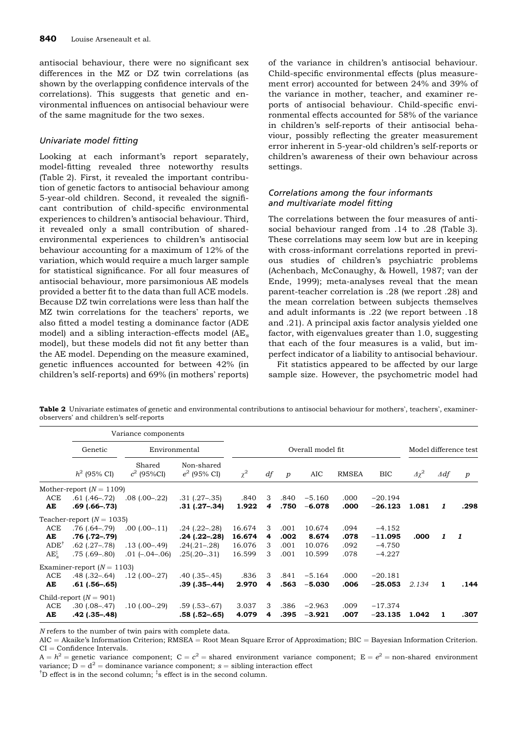antisocial behaviour, there were no significant sex differences in the MZ or DZ twin correlations (as shown by the overlapping confidence intervals of the correlations). This suggests that genetic and environmental influences on antisocial behaviour were of the same magnitude for the two sexes.

## Univariate model fitting

Looking at each informant's report separately, model-fitting revealed three noteworthy results (Table 2). First, it revealed the important contribution of genetic factors to antisocial behaviour among 5-year-old children. Second, it revealed the significant contribution of child-specific environmental experiences to children's antisocial behaviour. Third, it revealed only a small contribution of sharedenvironmental experiences to children's antisocial behaviour accounting for a maximum of 12% of the variation, which would require a much larger sample for statistical significance. For all four measures of antisocial behaviour, more parsimonious AE models provided a better fit to the data than full ACE models. Because DZ twin correlations were less than half the MZ twin correlations for the teachers' reports, we also fitted a model testing a dominance factor (ADE model) and a sibling interaction-effects model (AE<sup>s</sup> model), but these models did not fit any better than the AE model. Depending on the measure examined, genetic influences accounted for between 42% (in children's self-reports) and 69% (in mothers' reports)

of the variance in children's antisocial behaviour. Child-specific environmental effects (plus measurement error) accounted for between 24% and 39% of the variance in mother, teacher, and examiner reports of antisocial behaviour. Child-specific environmental effects accounted for 58% of the variance in children's self-reports of their antisocial behaviour, possibly reflecting the greater measurement error inherent in 5-year-old children's self-reports or children's awareness of their own behaviour across settings.

# Correlations among the four informants and multivariate model fitting

The correlations between the four measures of antisocial behaviour ranged from .14 to .28 (Table 3). These correlations may seem low but are in keeping with cross-informant correlations reported in previous studies of children's psychiatric problems (Achenbach, McConaughy, & Howell, 1987; van der Ende, 1999); meta-analyses reveal that the mean parent-teacher correlation is .28 (we report .28) and the mean correlation between subjects themselves and adult informants is .22 (we report between .18 and .21). A principal axis factor analysis yielded one factor, with eigenvalues greater than 1.0, suggesting that each of the four measures is a valid, but imperfect indicator of a liability to antisocial behaviour.

Fit statistics appeared to be affected by our large sample size. However, the psychometric model had

Table 2 Univariate estimates of genetic and environmental contributions to antisocial behaviour for mothers', teachers', examinerobservers' and children's self-reports

|                     | Variance components                  |                         |                                        |                   |        |                  |                      |              |                        |           |             |                  |
|---------------------|--------------------------------------|-------------------------|----------------------------------------|-------------------|--------|------------------|----------------------|--------------|------------------------|-----------|-------------|------------------|
|                     | Genetic                              |                         | Environmental                          | Overall model fit |        |                  |                      |              | Model difference test  |           |             |                  |
|                     | $h^2$ (95% CI)                       | Shared<br>$c^2$ (95%CI) | Non-shared<br>$e^2$ (95% CI)           | $\chi^2$          | df     | $\boldsymbol{p}$ | <b>AIC</b>           | <b>RMSEA</b> | <b>BIC</b>             | $4\chi^2$ | $\Delta df$ | $\boldsymbol{p}$ |
|                     | Mother-report $(N = 1109)$           |                         |                                        |                   |        |                  |                      |              |                        |           |             |                  |
| ACE<br>AE           | $.61$ (.46–.72)<br>$.69$ $(.66-.73)$ | $.08$ $(.00-.22)$       | $.31$ $(.27-.35)$<br>$.31$ $(.27-.34)$ | .840<br>1.922     | 3<br>4 | .840<br>.750     | $-5.160$<br>$-6.078$ | .000<br>.000 | $-20.194$<br>$-26.123$ | 1.081     |             | .298             |
|                     | Teacher-report $(N = 1035)$          |                         |                                        |                   |        |                  |                      |              |                        |           |             |                  |
| ACE                 | .76 (.64–.79)                        | $.00$ $(.00-.11)$       | $.24$ ( $.22 - .28$ )                  | 16.674            | 3      | .001             | 10.674               | .094         | $-4.152$               |           |             |                  |
| AE                  | .76 (.72–.79)                        |                         | .24 (.22–.28)                          | 16.674            | 4      | .002             | 8.674                | .078         | $-11.095$              | .000      | 1           | 1                |
| $ADE^{\dagger}$     | $.62$ $(.27-.78)$                    | .13 (.00–.49)           | $.24(.21-.28)$                         | 16.076            | 3      | .001             | 10.076               | .092         | $-4.750$               |           |             |                  |
| $AE_{s}^{\ddagger}$ | $.75$ (.69–.80)                      | $.01$ (-.04-.06)        | $.25(.20-.31)$                         | 16.599            | 3      | .001             | 10.599               | .078         | $-4.227$               |           |             |                  |
|                     | Examiner-report $(N = 1103)$         |                         |                                        |                   |        |                  |                      |              |                        |           |             |                  |
| ACE                 | $.48$ $(.32-.64)$                    | $.12$ (.00–.27)         | $.40$ $(.35-.45)$                      | .836              | 3      | .841             | $-5.164$             | .000         | $-20.181$              |           |             |                  |
| AE                  | $.61$ $(.56-.65)$                    |                         | $.39$ $(.35-.44)$                      | 2.970             | 4      | .563             | $-5.030$             | .006         | $-25.053$              | 2.134     | 1.          | .144             |
|                     | Child-report $(N = 901)$             |                         |                                        |                   |        |                  |                      |              |                        |           |             |                  |
| ACE                 | $.30$ $(.08-.47)$                    | $.10$ (.00–.29)         | $.59$ ( $.53 - .67$ )                  | 3.037             | 3      | .386             | $-2.963$             | .009         | $-17.374$              |           |             |                  |
| AE                  | .42 (.35–.48)                        |                         | $.58$ ( $.52 - .65$ )                  | 4.079             | 4      | .395             | $-3.921$             | .007         | $-23.135$              | 1.042     | -1          | .307             |

N refers to the number of twin pairs with complete data.

 $AIC = Akaike's Information Criterion; RMSEA = Root Mean Square Error of Approximation; BIC = Bayesian Information Criterion.$  $CI =$  Confidence Intervals.

 $A = h^2$  genetic variance component; C =  $c^2$  = shared environment variance component; E =  $e^2$  = non-shared environment variance;  $D = d^2$  = dominance variance component; s = sibling interaction effect

<sup>†</sup>D effect is in the second column; <sup>‡</sup>s effect is in the second column.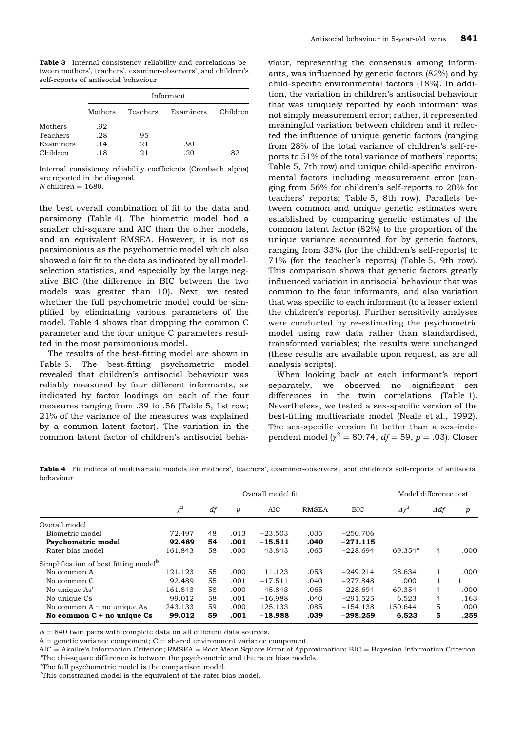Table 3 Internal consistency reliability and correlations between mothers', teachers', examiner-observers', and children's self-reports of antisocial behaviour

|           | Informant |          |           |          |  |  |  |  |
|-----------|-----------|----------|-----------|----------|--|--|--|--|
|           | Mothers   | Teachers | Examiners | Children |  |  |  |  |
| Mothers   | .92       |          |           |          |  |  |  |  |
| Teachers  | .28       | .95      |           |          |  |  |  |  |
| Examiners | .14       | .21      | .90       |          |  |  |  |  |
| Children  | .18       | .21      | .20       | 82       |  |  |  |  |

Internal consistency reliability coefficients (Cronbach alpha) are reported in the diagonal.

 $N$  children = 1680.

the best overall combination of fit to the data and parsimony (Table 4). The biometric model had a smaller chi-square and AIC than the other models, and an equivalent RMSEA. However, it is not as parsimonious as the psychometric model which also showed a fair fit to the data as indicated by all modelselection statistics, and especially by the large negative BIC (the difference in BIC between the two models was greater than 10). Next, we tested whether the full psychometric model could be simplified by eliminating various parameters of the model. Table 4 shows that dropping the common C parameter and the four unique C parameters resulted in the most parsimonious model.

The results of the best-fitting model are shown in Table 5. The best-fitting psychometric model revealed that children's antisocial behaviour was reliably measured by four different informants, as indicated by factor loadings on each of the four measures ranging from .39 to .56 (Table 5, 1st row; 21% of the variance of the measures was explained by a common latent factor). The variation in the common latent factor of children's antisocial behaviour, representing the consensus among informants, was influenced by genetic factors (82%) and by child-specific environmental factors (18%). In addition, the variation in children's antisocial behaviour that was uniquely reported by each informant was not simply measurement error; rather, it represented meaningful variation between children and it reflected the influence of unique genetic factors (ranging from 28% of the total variance of children's self-reports to 51% of the total variance of mothers' reports; Table 5, 7th row) and unique child-specific environmental factors including measurement error (ranging from 56% for children's self-reports to 20% for teachers' reports; Table 5, 8th row). Parallels between common and unique genetic estimates were established by comparing genetic estimates of the common latent factor (82%) to the proportion of the unique variance accounted for by genetic factors, ranging from 33% (for the children's self-reports) to 71% (for the teacher's reports) (Table 5, 9th row). This comparison shows that genetic factors greatly influenced variation in antisocial behaviour that was common to the four informants, and also variation that was specific to each informant (to a lesser extent the children's reports). Further sensitivity analyses were conducted by re-estimating the psychometric model using raw data rather than standardised, transformed variables; the results were unchanged (these results are available upon request, as are all analysis scripts).

When looking back at each informant's report separately, we observed no significant sex differences in the twin correlations (Table 1). Nevertheless, we tested a sex-specific version of the best-fitting multivariate model (Neale et al., 1992). The sex-specific version fit better than a sex-independent model ( $\chi^2 = 80.74$ ,  $df = 59$ ,  $p = .03$ ). Closer

Table 4 Fit indices of multivariate models for mothers', teachers', examiner-observers', and children's self-reports of antisocial behaviour

|                                                   |          | Overall model fit |                  |           |              |            |                       | Model difference test |      |  |
|---------------------------------------------------|----------|-------------------|------------------|-----------|--------------|------------|-----------------------|-----------------------|------|--|
|                                                   | $\chi^2$ | df                | $\boldsymbol{p}$ | AIC       | <b>RMSEA</b> | BIC        | $4\chi^2$             | ∆df                   | р    |  |
| Overall model                                     |          |                   |                  |           |              |            |                       |                       |      |  |
| Biometric model                                   | 72.497   | 48                | .013             | $-23.503$ | .035         | $-250.706$ |                       |                       |      |  |
| Psychometric model                                | 92.489   | 54                | .001             | $-15.511$ | .040         | $-271.115$ |                       |                       |      |  |
| Rater bias model                                  | 161.843  | 58                | .000             | 43.843    | .065         | $-228.694$ | $69.354$ <sup>a</sup> | 4                     | .000 |  |
| Simplification of best fitting model <sup>b</sup> |          |                   |                  |           |              |            |                       |                       |      |  |
| No common A                                       | 121.123  | 55                | .000.            | 11.123    | .053         | $-249.214$ | 28.634                |                       | .000 |  |
| No common C                                       | 92.489   | 55                | .001             | $-17.511$ | .040         | $-277.848$ | .000                  |                       |      |  |
| No unique As <sup>c</sup>                         | 161.843  | 58                | .000.            | 45.843    | .065         | $-228.694$ | 69.354                | 4                     | .000 |  |
| No unique Cs                                      | 99.012   | 58                | .001             | $-16.988$ | .040         | $-291.525$ | 6.523                 | 4                     | .163 |  |
| No common $A + no$ unique As                      | 243.133  | 59                | .000             | 125.133   | .085         | $-154.138$ | 150.644               | 5                     | .000 |  |
| No common $C + no$ unique $Cs$                    | 99.012   | 59                | .001             | $-18.988$ | .039         | $-298.259$ | 6.523                 | 5                     | .259 |  |

 $N = 840$  twin pairs with complete data on all different data sources.

 $A =$  genetic variance component;  $C =$  shared environment variance component.

 $AIC = Akaike's Information Criterion; RMSEA = Root Mean Square Error of Approximation; BIC = Bayesian Information Criterion.$ <sup>a</sup>The chi-square difference is between the psychometric and the rater bias models.

<sup>b</sup>The full psychometric model is the comparison model.

<sup>c</sup>This constrained model is the equivalent of the rater bias model.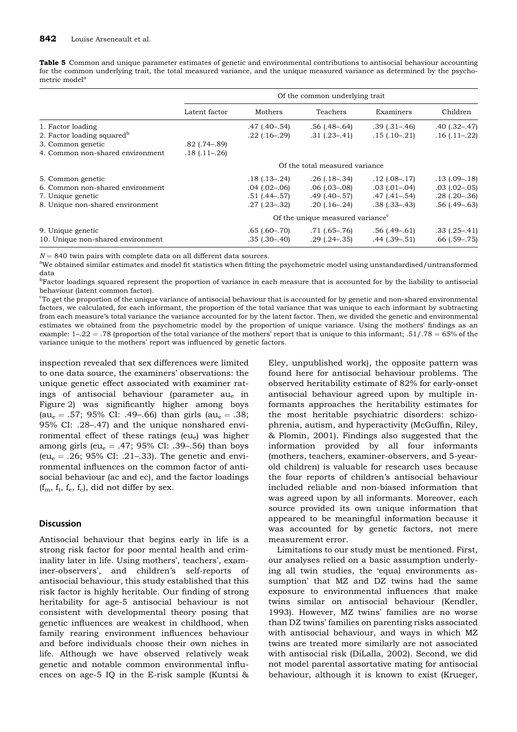Table 5 Common and unique parameter estimates of genetic and environmental contributions to antisocial behaviour accounting for the common underlying trait, the total measured variance, and the unique measured variance as determined by the psychometric model<sup>a</sup>

|                                        | Of the common underlying trait               |                       |                       |                     |                       |  |  |  |  |
|----------------------------------------|----------------------------------------------|-----------------------|-----------------------|---------------------|-----------------------|--|--|--|--|
|                                        | Latent factor                                | Mothers               | Teachers              | Examiners           | Children              |  |  |  |  |
| 1. Factor loading                      |                                              | .47 (.40–.54)         | $.56$ (.48–.64)       | $.39$ $(.31 - .46)$ | $.40$ $(.32-.47)$     |  |  |  |  |
| 2. Factor loading squared <sup>b</sup> |                                              | $.22$ $(.16 - .29)$   | $.31$ $(.23-.41)$     | $.15(.10-.21)$      | $.16$ ( $.11 - .22$ ) |  |  |  |  |
| 3. Common genetic                      | $.82$ (.74 $-.89$ )                          |                       |                       |                     |                       |  |  |  |  |
| 4. Common non-shared environment       | $.18$ $(.11-.26)$                            |                       |                       |                     |                       |  |  |  |  |
|                                        | Of the total measured variance               |                       |                       |                     |                       |  |  |  |  |
| 5. Common genetic                      |                                              | $.18$ ( $.13 - .24$ ) | $.26$ ( $.18 - .34$ ) | $.12$ (.08- $.17$ ) | $.13(0.09 - 0.18)$    |  |  |  |  |
| 6. Common non-shared environment       |                                              | $.04$ $(.02-.06)$     | $.06$ $(.03-.08)$     | $.03$ $(.01-.04)$   | $.03$ $(.02-.05)$     |  |  |  |  |
| 7. Unique genetic                      |                                              | $.51$ (.44–.57)       | .49 (.40–.57)         | .47 (.41–.54)       | $.28$ ( $.20 - .36$ ) |  |  |  |  |
| 8. Unique non-shared environment       |                                              | $.27$ ( $.23 - .32$ ) | $.20$ $(.16-.24)$     | $.38$ $(.33 - .43)$ | $.56$ $(.49 - .63)$   |  |  |  |  |
|                                        | Of the unique measured variance <sup>c</sup> |                       |                       |                     |                       |  |  |  |  |
| 9. Unique genetic                      |                                              | $.65$ (.60–.70)       | $.71(0.65 - 0.76)$    | $.56$ (.49–.61)     | $.33$ $(.25-.41)$     |  |  |  |  |
| 10. Unique non-shared environment      |                                              | $.35(.30-.40)$        | $.29$ ( $.24 - .35$ ) | $.44$ $(.39-.51)$   | $.66$ $(.59-.75)$     |  |  |  |  |

 $N = 840$  twin pairs with complete data on all different data sources.

We obtained similar estimates and model fit statistics when fitting the psychometric model using unstandardised/untransformed data

<sup>b</sup>Factor loadings squared represent the proportion of variance in each measure that is accounted for by the liability to antisocial behaviour (latent common factor).

<sup>c</sup>To get the proportion of the unique variance of antisocial behaviour that is accounted for by genetic and non-shared environmental factors, we calculated, for each informant, the proportion of the total variance that was unique to each informant by subtracting from each measure's total variance the variance accounted for by the latent factor. Then, we divided the genetic and environmental estimates we obtained from the psychometric model by the proportion of unique variance. Using the mothers' findings as an example:  $1-.22 = .78$  (proportion of the total variance of the mothers' report that is unique to this informant; .51/.78 = 65% of the variance unique to the mothers' report was influenced by genetic factors.

inspection revealed that sex differences were limited to one data source, the examiners' observations: the unique genetic effect associated with examiner ratings of antisocial behaviour (parameter aue in Figure 2) was significantly higher among boys (au<sub>e</sub> = .57; 95% CI: .49-.66) than girls (au<sub>e</sub> = .38; 95% CI: .28–.47) and the unique nonshared environmental effect of these ratings  $(eu_e)$  was higher among girls (eu<sub>e</sub> = .47; 95% CI: .39–.56) than boys  $(eu_e = .26; 95\% \text{ CI: } .21-.33)$ . The genetic and environmental influences on the common factor of antisocial behaviour (ac and ec), and the factor loadings  $(f<sub>m</sub>, f<sub>t</sub>, f<sub>e</sub>, f<sub>c</sub>)$ , did not differ by sex.

## **Discussion**

Antisocial behaviour that begins early in life is a strong risk factor for poor mental health and criminality later in life. Using mothers', teachers', examiner-observers, and children's self-reports of antisocial behaviour, this study established that this risk factor is highly heritable. Our finding of strong heritability for age-5 antisocial behaviour is not consistent with developmental theory posing that genetic influences are weakest in childhood, when family rearing environment influences behaviour and before individuals choose their own niches in life. Although we have observed relatively weak genetic and notable common environmental influences on age-5 IQ in the E-risk sample (Kuntsi &

Eley, unpublished work), the opposite pattern was found here for antisocial behaviour problems. The observed heritability estimate of 82% for early-onset antisocial behaviour agreed upon by multiple informants approaches the heritability estimates for the most heritable psychiatric disorders: schizophrenia, autism, and hyperactivity (McGuffin, Riley, & Plomin, 2001). Findings also suggested that the information provided by all four informants (mothers, teachers, examiner-observers, and 5-yearold children) is valuable for research uses because the four reports of children's antisocial behaviour included reliable and non-biased information that was agreed upon by all informants. Moreover, each source provided its own unique information that appeared to be meaningful information because it was accounted for by genetic factors, not mere measurement error.

Limitations to our study must be mentioned. First, our analyses relied on a basic assumption underlying all twin studies, the 'equal environments assumption' that MZ and DZ twins had the same exposure to environmental influences that make twins similar on antisocial behaviour (Kendler, 1993). However, MZ twins' families are no worse than DZ twins' families on parenting risks associated with antisocial behaviour, and ways in which MZ twins are treated more similarly are not associated with antisocial risk (DiLalla, 2002). Second, we did not model parental assortative mating for antisocial behaviour, although it is known to exist (Krueger,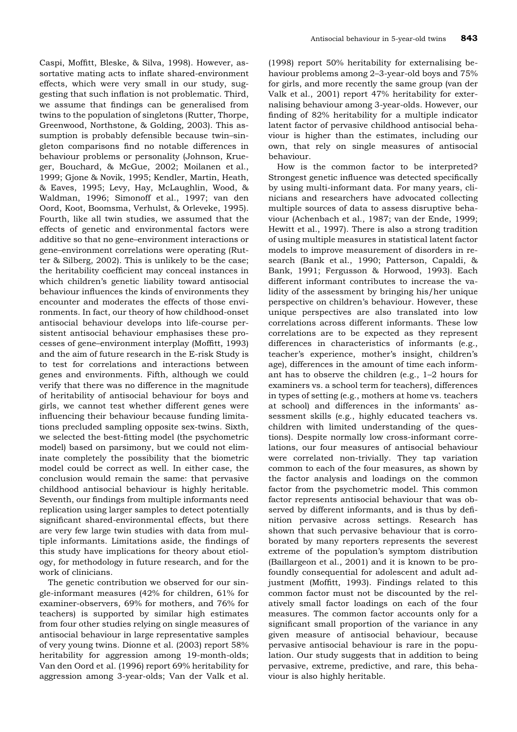Caspi, Moffitt, Bleske, & Silva, 1998). However, assortative mating acts to inflate shared-environment effects, which were very small in our study, suggesting that such inflation is not problematic. Third, we assume that findings can be generalised from twins to the population of singletons (Rutter, Thorpe, Greenwood, Northstone, & Golding, 2003). This assumption is probably defensible because twin–singleton comparisons find no notable differences in behaviour problems or personality (Johnson, Krueger, Bouchard, & McGue, 2002; Moilanen et al., 1999; Gjone & Novik, 1995; Kendler, Martin, Heath, & Eaves, 1995; Levy, Hay, McLaughlin, Wood, & Waldman, 1996; Simonoff et al., 1997; van den Oord, Koot, Boomsma, Verhulst, & Orleveke, 1995). Fourth, like all twin studies, we assumed that the effects of genetic and environmental factors were additive so that no gene–environment interactions or gene–environment correlations were operating (Rutter & Silberg, 2002). This is unlikely to be the case; the heritability coefficient may conceal instances in which children's genetic liability toward antisocial behaviour influences the kinds of environments they encounter and moderates the effects of those environments. In fact, our theory of how childhood-onset antisocial behaviour develops into life-course persistent antisocial behaviour emphasises these processes of gene–environment interplay (Moffitt, 1993) and the aim of future research in the E-risk Study is to test for correlations and interactions between genes and environments. Fifth, although we could verify that there was no difference in the magnitude of heritability of antisocial behaviour for boys and girls, we cannot test whether different genes were influencing their behaviour because funding limitations precluded sampling opposite sex-twins. Sixth, we selected the best-fitting model (the psychometric model) based on parsimony, but we could not eliminate completely the possibility that the biometric model could be correct as well. In either case, the conclusion would remain the same: that pervasive childhood antisocial behaviour is highly heritable. Seventh, our findings from multiple informants need replication using larger samples to detect potentially significant shared-environmental effects, but there are very few large twin studies with data from multiple informants. Limitations aside, the findings of this study have implications for theory about etiology, for methodology in future research, and for the work of clinicians.

The genetic contribution we observed for our single-informant measures (42% for children, 61% for examiner-observers, 69% for mothers, and 76% for teachers) is supported by similar high estimates from four other studies relying on single measures of antisocial behaviour in large representative samples of very young twins. Dionne et al. (2003) report 58% heritability for aggression among 19-month-olds; Van den Oord et al. (1996) report 69% heritability for aggression among 3-year-olds; Van der Valk et al.

(1998) report 50% heritability for externalising behaviour problems among 2–3-year-old boys and 75% for girls, and more recently the same group (van der Valk et al., 2001) report 47% heritability for externalising behaviour among 3-year-olds. However, our finding of 82% heritability for a multiple indicator latent factor of pervasive childhood antisocial behaviour is higher than the estimates, including our own, that rely on single measures of antisocial behaviour.

How is the common factor to be interpreted? Strongest genetic influence was detected specifically by using multi-informant data. For many years, clinicians and researchers have advocated collecting multiple sources of data to assess disruptive behaviour (Achenbach et al., 1987; van der Ende, 1999; Hewitt et al., 1997). There is also a strong tradition of using multiple measures in statistical latent factor models to improve measurement of disorders in research (Bank et al., 1990; Patterson, Capaldi, & Bank, 1991; Fergusson & Horwood, 1993). Each different informant contributes to increase the validity of the assessment by bringing his/her unique perspective on children's behaviour. However, these unique perspectives are also translated into low correlations across different informants. These low correlations are to be expected as they represent differences in characteristics of informants (e.g., teacher's experience, mother's insight, children's age), differences in the amount of time each informant has to observe the children (e.g., 1–2 hours for examiners vs. a school term for teachers), differences in types of setting (e.g., mothers at home vs. teachers at school) and differences in the informants' assessment skills (e.g., highly educated teachers vs. children with limited understanding of the questions). Despite normally low cross-informant correlations, our four measures of antisocial behaviour were correlated non-trivially. They tap variation common to each of the four measures, as shown by the factor analysis and loadings on the common factor from the psychometric model. This common factor represents antisocial behaviour that was observed by different informants, and is thus by definition pervasive across settings. Research has shown that such pervasive behaviour that is corroborated by many reporters represents the severest extreme of the population's symptom distribution (Baillargeon et al., 2001) and it is known to be profoundly consequential for adolescent and adult adjustment (Moffitt, 1993). Findings related to this common factor must not be discounted by the relatively small factor loadings on each of the four measures. The common factor accounts only for a significant small proportion of the variance in any given measure of antisocial behaviour, because pervasive antisocial behaviour is rare in the population. Our study suggests that in addition to being pervasive, extreme, predictive, and rare, this behaviour is also highly heritable.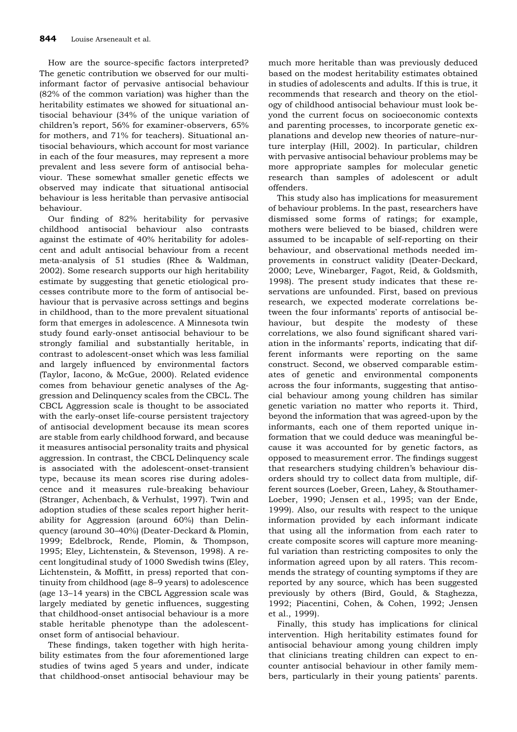How are the source-specific factors interpreted? The genetic contribution we observed for our multiinformant factor of pervasive antisocial behaviour (82% of the common variation) was higher than the heritability estimates we showed for situational antisocial behaviour (34% of the unique variation of children's report, 56% for examiner-observers, 65% for mothers, and 71% for teachers). Situational antisocial behaviours, which account for most variance in each of the four measures, may represent a more prevalent and less severe form of antisocial behaviour. These somewhat smaller genetic effects we observed may indicate that situational antisocial behaviour is less heritable than pervasive antisocial behaviour.

Our finding of 82% heritability for pervasive childhood antisocial behaviour also contrasts against the estimate of 40% heritability for adolescent and adult antisocial behaviour from a recent meta-analysis of 51 studies (Rhee & Waldman, 2002). Some research supports our high heritability estimate by suggesting that genetic etiological processes contribute more to the form of antisocial behaviour that is pervasive across settings and begins in childhood, than to the more prevalent situational form that emerges in adolescence. A Minnesota twin study found early-onset antisocial behaviour to be strongly familial and substantially heritable, in contrast to adolescent-onset which was less familial and largely influenced by environmental factors (Taylor, Iacono, & McGue, 2000). Related evidence comes from behaviour genetic analyses of the Aggression and Delinquency scales from the CBCL. The CBCL Aggression scale is thought to be associated with the early-onset life-course persistent trajectory of antisocial development because its mean scores are stable from early childhood forward, and because it measures antisocial personality traits and physical aggression. In contrast, the CBCL Delinquency scale is associated with the adolescent-onset-transient type, because its mean scores rise during adolescence and it measures rule-breaking behaviour (Stranger, Achenbach, & Verhulst, 1997). Twin and adoption studies of these scales report higher heritability for Aggression (around 60%) than Delinquency (around 30–40%) (Deater-Deckard & Plomin, 1999; Edelbrock, Rende, Plomin, & Thompson, 1995; Eley, Lichtenstein, & Stevenson, 1998). A recent longitudinal study of 1000 Swedish twins (Eley, Lichtenstein, & Moffitt, in press) reported that continuity from childhood (age 8–9 years) to adolescence (age 13–14 years) in the CBCL Aggression scale was largely mediated by genetic influences, suggesting that childhood-onset antisocial behaviour is a more stable heritable phenotype than the adolescentonset form of antisocial behaviour.

These findings, taken together with high heritability estimates from the four aforementioned large studies of twins aged 5 years and under, indicate that childhood-onset antisocial behaviour may be much more heritable than was previously deduced based on the modest heritability estimates obtained in studies of adolescents and adults. If this is true, it recommends that research and theory on the etiology of childhood antisocial behaviour must look beyond the current focus on socioeconomic contexts and parenting processes, to incorporate genetic explanations and develop new theories of nature–nurture interplay (Hill, 2002). In particular, children with pervasive antisocial behaviour problems may be more appropriate samples for molecular genetic research than samples of adolescent or adult offenders.

This study also has implications for measurement of behaviour problems. In the past, researchers have dismissed some forms of ratings; for example, mothers were believed to be biased, children were assumed to be incapable of self-reporting on their behaviour, and observational methods needed improvements in construct validity (Deater-Deckard, 2000; Leve, Winebarger, Fagot, Reid, & Goldsmith, 1998). The present study indicates that these reservations are unfounded. First, based on previous research, we expected moderate correlations between the four informants' reports of antisocial behaviour, but despite the modesty of these correlations, we also found significant shared variation in the informants' reports, indicating that different informants were reporting on the same construct. Second, we observed comparable estimates of genetic and environmental components across the four informants, suggesting that antisocial behaviour among young children has similar genetic variation no matter who reports it. Third, beyond the information that was agreed-upon by the informants, each one of them reported unique information that we could deduce was meaningful because it was accounted for by genetic factors, as opposed to measurement error. The findings suggest that researchers studying children's behaviour disorders should try to collect data from multiple, different sources (Loeber, Green, Lahey, & Stouthamer-Loeber, 1990; Jensen et al., 1995; van der Ende, 1999). Also, our results with respect to the unique information provided by each informant indicate that using all the information from each rater to create composite scores will capture more meaningful variation than restricting composites to only the information agreed upon by all raters. This recommends the strategy of counting symptoms if they are reported by any source, which has been suggested previously by others (Bird, Gould, & Staghezza, 1992; Piacentini, Cohen, & Cohen, 1992; Jensen et al., 1999).

Finally, this study has implications for clinical intervention. High heritability estimates found for antisocial behaviour among young children imply that clinicians treating children can expect to encounter antisocial behaviour in other family members, particularly in their young patients' parents.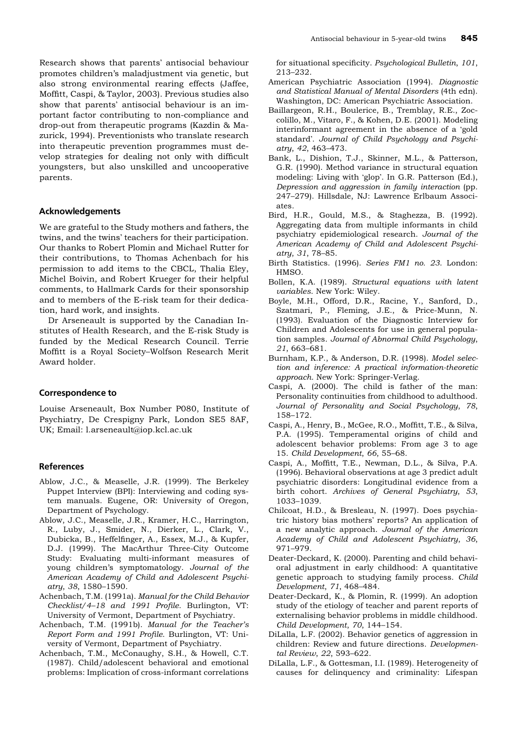Research shows that parents' antisocial behaviour promotes children's maladjustment via genetic, but also strong environmental rearing effects (Jaffee, Moffitt, Caspi, & Taylor, 2003). Previous studies also show that parents' antisocial behaviour is an important factor contributing to non-compliance and drop-out from therapeutic programs (Kazdin & Mazurick, 1994). Preventionists who translate research into therapeutic prevention programmes must develop strategies for dealing not only with difficult youngsters, but also unskilled and uncooperative parents.

## Acknowledgements

We are grateful to the Study mothers and fathers, the twins, and the twins' teachers for their participation. Our thanks to Robert Plomin and Michael Rutter for their contributions, to Thomas Achenbach for his permission to add items to the CBCL, Thalia Eley, Michel Boivin, and Robert Krueger for their helpful comments, to Hallmark Cards for their sponsorship and to members of the E-risk team for their dedication, hard work, and insights.

Dr Arseneault is supported by the Canadian Institutes of Health Research, and the E-risk Study is funded by the Medical Research Council. Terrie Moffitt is a Royal Society–Wolfson Research Merit Award holder.

## Correspondence to

Louise Arseneault, Box Number P080, Institute of Psychiatry, De Crespigny Park, London SE5 8AF, UK; Email: l.arseneault@iop.kcl.ac.uk

#### References

- Ablow, J.C., & Measelle, J.R. (1999). The Berkeley Puppet Interview (BPI): Interviewing and coding system manuals. Eugene, OR: University of Oregon, Department of Psychology.
- Ablow, J.C., Measelle, J.R., Kramer, H.C., Harrington, R., Luby, J., Smider, N., Dierker, L., Clark, V., Dubicka, B., Heffelfinger, A., Essex, M.J., & Kupfer, D.J. (1999). The MacArthur Three-City Outcome Study: Evaluating multi-informant measures of young children's symptomatology. Journal of the American Academy of Child and Adolescent Psychiatry, 38, 1580–1590.
- Achenbach, T.M. (1991a). Manual for the Child Behavior Checklist/4–18 and 1991 Profile. Burlington, VT: University of Vermont, Department of Psychiatry.
- Achenbach, T.M. (1991b). Manual for the Teacher's Report Form and 1991 Profile. Burlington, VT: University of Vermont, Department of Psychiatry.
- Achenbach, T.M., McConaughy, S.H., & Howell, C.T. (1987). Child/adolescent behavioral and emotional problems: Implication of cross-informant correlations

for situational specificity. Psychological Bulletin, 101, 213–232.

- American Psychiatric Association (1994). Diagnostic and Statistical Manual of Mental Disorders (4th edn). Washington, DC: American Psychiatric Association.
- Baillargeon, R.H., Boulerice, B., Tremblay, R.E., Zoccolillo, M., Vitaro, F., & Kohen, D.E. (2001). Modeling interinformant agreement in the absence of a 'gold standard'. Journal of Child Psychology and Psychiatry, 42, 463–473.
- Bank, L., Dishion, T.J., Skinner, M.L., & Patterson, G.R. (1990). Method variance in structural equation modeling: Living with 'glop'. In G.R. Patterson (Ed.), Depression and aggression in family interaction (pp. 247–279). Hillsdale, NJ: Lawrence Erlbaum Associates.
- Bird, H.R., Gould, M.S., & Staghezza, B. (1992). Aggregating data from multiple informants in child psychiatry epidemiological research. Journal of the American Academy of Child and Adolescent Psychiatry, 31, 78–85.
- Birth Statistics. (1996). Series FM1 no. 23. London: HMSO.
- Bollen, K.A. (1989). Structural equations with latent variables. New York: Wiley.
- Boyle, M.H., Offord, D.R., Racine, Y., Sanford, D., Szatmari, P., Fleming, J.E., & Price-Munn, N. (1993). Evaluation of the Diagnostic Interview for Children and Adolescents for use in general population samples. Journal of Abnormal Child Psychology, 21, 663–681.
- Burnham, K.P., & Anderson, D.R. (1998). Model selection and inference: A practical information-theoretic approach. New York: Springer-Verlag.
- Caspi, A. (2000). The child is father of the man: Personality continuities from childhood to adulthood. Journal of Personality and Social Psychology, 78, 158–172.
- Caspi, A., Henry, B., McGee, R.O., Moffitt, T.E., & Silva, P.A. (1995). Temperamental origins of child and adolescent behavior problems: From age 3 to age 15. Child Development, 66, 55–68.
- Caspi, A., Moffitt, T.E., Newman, D.L., & Silva, P.A. (1996). Behavioral observations at age 3 predict adult psychiatric disorders: Longitudinal evidence from a birth cohort. Archives of General Psychiatry, 53, 1033–1039.
- Chilcoat, H.D., & Bresleau, N. (1997). Does psychiatric history bias mothers' reports? An application of a new analytic approach. Journal of the American Academy of Child and Adolescent Psychiatry, 36, 971–979.
- Deater-Deckard, K. (2000). Parenting and child behavioral adjustment in early childhood: A quantitative genetic approach to studying family process. Child Development, 71, 468–484.
- Deater-Deckard, K., & Plomin, R. (1999). An adoption study of the etiology of teacher and parent reports of externalising behavior problems in middle childhood. Child Development, 70, 144–154.
- DiLalla, L.F. (2002). Behavior genetics of aggression in children: Review and future directions. Developmental Review, 22, 593–622.
- DiLalla, L.F., & Gottesman, I.I. (1989). Heterogeneity of causes for delinquency and criminality: Lifespan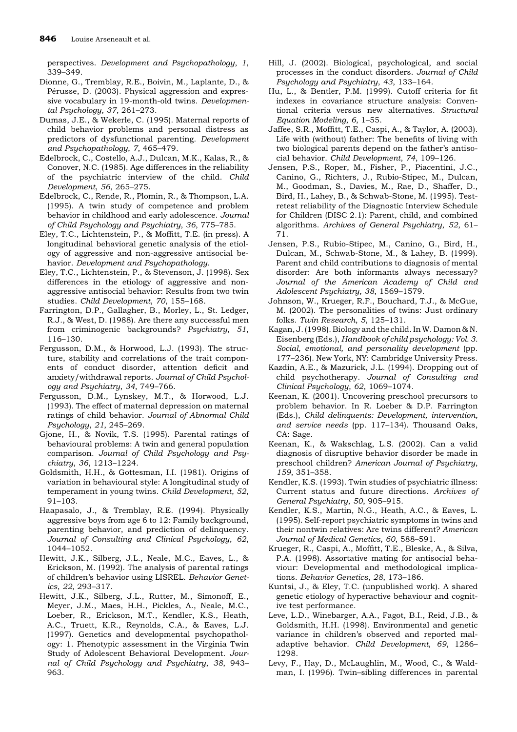perspectives. Development and Psychopathology, 1, 339–349.

- Dionne, G., Tremblay, R.E., Boivin, M., Laplante, D., & Pérusse, D. (2003). Physical aggression and expressive vocabulary in 19-month-old twins. Developmental Psychology, 37, 261–273.
- Dumas, J.E., & Wekerle, C. (1995). Maternal reports of child behavior problems and personal distress as predictors of dysfunctional parenting. Development and Psychopathology, 7, 465–479.
- Edelbrock, C., Costello, A.J., Dulcan, M.K., Kalas, R., & Conover, N.C. (1985). Age differences in the reliability of the psychiatric interview of the child. Child Development, 56, 265–275.
- Edelbrock, C., Rende, R., Plomin, R., & Thompson, L.A. (1995). A twin study of competence and problem behavior in childhood and early adolescence. Journal of Child Psychology and Psychiatry, 36, 775–785.
- Eley, T.C., Lichtenstein, P., & Moffitt, T.E. (in press). A longitudinal behavioral genetic analysis of the etiology of aggressive and non-aggressive antisocial behavior. Development and Psychopathology.
- Eley, T.C., Lichtenstein, P., & Stevenson, J. (1998). Sex differences in the etiology of aggressive and nonaggressive antisocial behavior: Results from two twin studies. Child Development, 70, 155–168.
- Farrington, D.P., Gallagher, B., Morley, L., St. Ledger, R.J., & West, D. (1988). Are there any successful men from criminogenic backgrounds? Psychiatry, 51, 116–130.
- Fergusson, D.M., & Horwood, L.J. (1993). The structure, stability and correlations of the trait components of conduct disorder, attention deficit and anxiety/withdrawal reports. Journal of Child Psychology and Psychiatry, 34, 749–766.
- Fergusson, D.M., Lynskey, M.T., & Horwood, L.J. (1993). The effect of maternal depression on maternal ratings of child behavior. Journal of Abnormal Child Psychology, 21, 245–269.
- Gjone, H., & Novik, T.S. (1995). Parental ratings of behavioural problems: A twin and general population comparison. Journal of Child Psychology and Psychiatry, 36, 1213–1224.
- Goldsmith, H.H., & Gottesman, I.I. (1981). Origins of variation in behavioural style: A longitudinal study of temperament in young twins. Child Development, 52,  $91 - 103$ .
- Haapasalo, J., & Tremblay, R.E. (1994). Physically aggressive boys from age 6 to 12: Family background, parenting behavior, and prediction of delinquency. Journal of Consulting and Clinical Psychology, 62, 1044–1052.
- Hewitt, J.K., Silberg, J.L., Neale, M.C., Eaves, L., & Erickson, M. (1992). The analysis of parental ratings of children's behavior using LISREL. Behavior Genetics, 22, 293–317.
- Hewitt, J.K., Silberg, J.L., Rutter, M., Simonoff, E., Meyer, J.M., Maes, H.H., Pickles, A., Neale, M.C., Loeber, R., Erickson, M.T., Kendler, K.S., Heath, A.C., Truett, K.R., Reynolds, C.A., & Eaves, L.J. (1997). Genetics and developmental psychopathology: 1. Phenotypic assessment in the Virginia Twin Study of Adolescent Behavioral Development. Journal of Child Psychology and Psychiatry, 38, 943– 963.
- Hill, J. (2002). Biological, psychological, and social processes in the conduct disorders. Journal of Child Psychology and Psychiatry, 43, 133–164.
- Hu, L., & Bentler, P.M. (1999). Cutoff criteria for fit indexes in covariance structure analysis: Conventional criteria versus new alternatives. Structural Equation Modeling, 6, 1–55.
- Jaffee, S.R., Moffitt, T.E., Caspi, A., & Taylor, A. (2003). Life with (without) father: The benefits of living with two biological parents depend on the father's antisocial behavior. Child Development, 74, 109–126.
- Jensen, P.S., Roper, M., Fisher, P., Piacentini, J.C., Canino, G., Richters, J., Rubio-Stipec, M., Dulcan, M., Goodman, S., Davies, M., Rae, D., Shaffer, D., Bird, H., Lahey, B., & Schwab-Stone, M. (1995). Testretest reliability of the Diagnostic Interview Schedule for Children (DISC 2.1): Parent, child, and combined algorithms. Archives of General Psychiatry, 52, 61– 71.
- Jensen, P.S., Rubio-Stipec, M., Canino, G., Bird, H., Dulcan, M., Schwab-Stone, M., & Lahey, B. (1999). Parent and child contributions to diagnosis of mental disorder: Are both informants always necessary? Journal of the American Academy of Child and Adolescent Psychiatry, 38, 1569–1579.
- Johnson, W., Krueger, R.F., Bouchard, T.J., & McGue, M. (2002). The personalities of twins: Just ordinary folks. Twin Research, 5, 125–131.
- Kagan, J. (1998). Biology and the child. InW. Damon & N. Eisenberg (Eds.), Handbook of child psychology: Vol. 3. Social, emotional, and personality development (pp. 177–236). New York, NY: Cambridge University Press.
- Kazdin, A.E., & Mazurick, J.L. (1994). Dropping out of child psychotherapy. Journal of Consulting and Clinical Psychology, 62, 1069–1074.
- Keenan, K. (2001). Uncovering preschool precursors to problem behavior. In R. Loeber & D.P. Farrington (Eds.), Child delinquents: Development, intervention, and service needs (pp. 117–134). Thousand Oaks, CA: Sage.
- Keenan, K., & Wakschlag, L.S. (2002). Can a valid diagnosis of disruptive behavior disorder be made in preschool children? American Journal of Psychiatry, 159, 351–358.
- Kendler, K.S. (1993). Twin studies of psychiatric illness: Current status and future directions. Archives of General Psychiatry, 50, 905–915.
- Kendler, K.S., Martin, N.G., Heath, A.C., & Eaves, L. (1995). Self-report psychiatric symptoms in twins and their nontwin relatives: Are twins different? American Journal of Medical Genetics, 60, 588–591.
- Krueger, R., Caspi, A., Moffitt, T.E., Bleske, A., & Silva, P.A. (1998). Assortative mating for antisocial behaviour: Developmental and methodological implications. Behavior Genetics, 28, 173–186.
- Kuntsi, J., & Eley, T.C. (unpublished work). A shared genetic etiology of hyperactive behaviour and cognitive test performance.
- Leve, L.D., Winebarger, A.A., Fagot, B.I., Reid, J.B., & Goldsmith, H.H. (1998). Environmental and genetic variance in children's observed and reported maladaptive behavior. Child Development, 69, 1286– 1298.
- Levy, F., Hay, D., McLaughlin, M., Wood, C., & Waldman, I. (1996). Twin–sibling differences in parental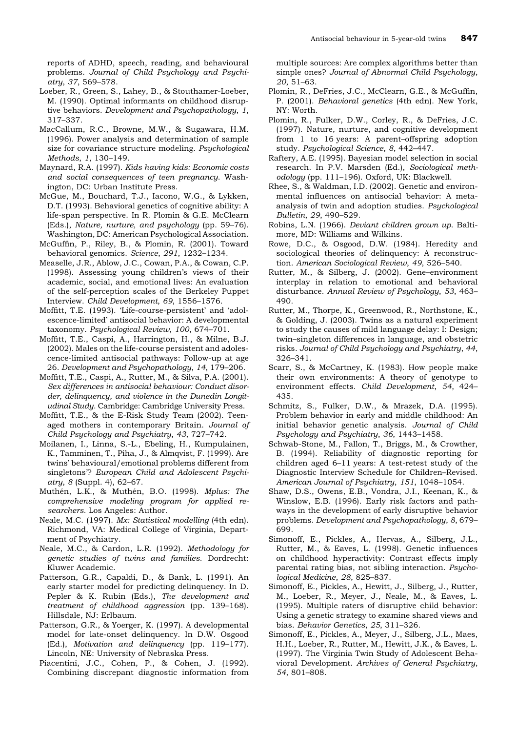reports of ADHD, speech, reading, and behavioural problems. Journal of Child Psychology and Psychiatry, 37, 569–578.

- Loeber, R., Green, S., Lahey, B., & Stouthamer-Loeber, M. (1990). Optimal informants on childhood disruptive behaviors. Development and Psychopathology, 1, 317–337.
- MacCallum, R.C., Browne, M.W., & Sugawara, H.M. (1996). Power analysis and determination of sample size for covariance structure modeling. Psychological Methods, 1, 130–149.
- Maynard, R.A. (1997). Kids having kids: Economic costs and social consequences of teen pregnancy. Washington, DC: Urban Institute Press.
- McGue, M., Bouchard, T.J., Iacono, W.G., & Lykken, D.T. (1993). Behavioral genetics of cognitive ability: A life-span perspective. In R. Plomin & G.E. McClearn (Eds.), Nature, nurture, and psychology (pp. 59–76). Washington, DC: American Psychological Association.
- McGuffin, P., Riley, B., & Plomin, R. (2001). Toward behavioral genomics. Science, 291, 1232–1234.
- Measelle, J.R., Ablow, J.C., Cowan, P.A., & Cowan, C.P. (1998). Assessing young children's views of their academic, social, and emotional lives: An evaluation of the self-perception scales of the Berkeley Puppet Interview. Child Development, 69, 1556–1576.
- Moffitt, T.E. (1993). 'Life-course-persistent' and 'adolescence-limited' antisocial behavior: A developmental taxonomy. Psychological Review, 100, 674–701.
- Moffitt, T.E., Caspi, A., Harrington, H., & Milne, B.J. (2002). Males on the life-course persistent and adolescence-limited antisocial pathways: Follow-up at age 26. Development and Psychopathology, 14, 179–206.
- Moffitt, T.E., Caspi, A., Rutter, M., & Silva, P.A. (2001). Sex differences in antisocial behaviour: Conduct disorder, delinquency, and violence in the Dunedin Longitudinal Study. Cambridge: Cambridge University Press.
- Moffitt, T.E., & the E-Risk Study Team (2002). Teenaged mothers in contemporary Britain. Journal of Child Psychology and Psychiatry, 43, 727–742.
- Moilanen, I., Linna, S.-L., Ebeling, H., Kumpulainen, K., Tamminen, T., Piha, J., & Almqvist, F. (1999). Are twins' behavioural/emotional problems different from singletons'? European Child and Adolescent Psychiatry, 8 (Suppl. 4), 62–67.
- Muthén, L.K., & Muthén, B.O. (1998). Mplus: The comprehensive modeling program for applied researchers. Los Angeles: Author.
- Neale, M.C. (1997). Mx: Statistical modelling (4th edn). Richmond, VA: Medical College of Virginia, Department of Psychiatry.
- Neale, M.C., & Cardon, L.R. (1992). Methodology for genetic studies of twins and families. Dordrecht: Kluwer Academic.
- Patterson, G.R., Capaldi, D., & Bank, L. (1991). An early starter model for predicting delinquency. In D. Pepler & K. Rubin (Eds.), The development and treatment of childhood aggression (pp. 139–168). Hillsdale, NJ: Erlbaum.
- Patterson, G.R., & Yoerger, K. (1997). A developmental model for late-onset delinquency. In D.W. Osgood (Ed.), Motivation and delinquency (pp. 119–177). Lincoln, NE: University of Nebraska Press.
- Piacentini, J.C., Cohen, P., & Cohen, J. (1992). Combining discrepant diagnostic information from

multiple sources: Are complex algorithms better than simple ones? Journal of Abnormal Child Psychology, 20, 51–63.

- Plomin, R., DeFries, J.C., McClearn, G.E., & McGuffin, P. (2001). Behavioral genetics (4th edn). New York, NY: Worth.
- Plomin, R., Fulker, D.W., Corley, R., & DeFries, J.C. (1997). Nature, nurture, and cognitive development from 1 to 16 years: A parent–offspring adoption study. Psychological Science, 8, 442–447.
- Raftery, A.E. (1995). Bayesian model selection in social research. In P.V. Marsden (Ed.), Sociological methodology (pp. 111–196). Oxford, UK: Blackwell.
- Rhee, S., & Waldman, I.D. (2002). Genetic and environmental influences on antisocial behavior: A metaanalysis of twin and adoption studies. Psychological Bulletin, 29, 490–529.
- Robins, L.N. (1966). Deviant children grown up. Baltimore, MD: Williams and Wilkins.
- Rowe, D.C., & Osgood, D.W. (1984). Heredity and sociological theories of delinquency: A reconstruction. American Sociological Review, 49, 526–540.
- Rutter, M., & Silberg, J. (2002). Gene–environment interplay in relation to emotional and behavioral disturbance. Annual Review of Psychology, 53, 463– 490.
- Rutter, M., Thorpe, K., Greenwood, R., Northstone, K., & Golding, J. (2003). Twins as a natural experiment to study the causes of mild language delay: I: Design; twin–singleton differences in language, and obstetric risks. Journal of Child Psychology and Psychiatry, 44, 326–341.
- Scarr, S., & McCartney, K. (1983). How people make their own environments: A theory of genotype to environment effects. Child Development, 54, 424– 435.
- Schmitz, S., Fulker, D.W., & Mrazek, D.A. (1995). Problem behavior in early and middle childhood: An initial behavior genetic analysis. Journal of Child Psychology and Psychiatry, 36, 1443–1458.
- Schwab-Stone, M., Fallon, T., Briggs, M., & Crowther, B. (1994). Reliability of diagnostic reporting for children aged 6–11 years: A test-retest study of the Diagnostic Interview Schedule for Children–Revised. American Journal of Psychiatry, 151, 1048–1054.
- Shaw, D.S., Owens, E.B., Vondra, J.I., Keenan, K., & Winslow, E.B. (1996). Early risk factors and pathways in the development of early disruptive behavior problems. Development and Psychopathology, 8, 679– 699.
- Simonoff, E., Pickles, A., Hervas, A., Silberg, J.L., Rutter, M., & Eaves, L. (1998). Genetic influences on childhood hyperactivity: Contrast effects imply parental rating bias, not sibling interaction. Psychological Medicine, 28, 825–837.
- Simonoff, E., Pickles, A., Hewitt, J., Silberg, J., Rutter, M., Loeber, R., Meyer, J., Neale, M., & Eaves, L. (1995). Multiple raters of disruptive child behavior: Using a genetic strategy to examine shared views and bias. Behavior Genetics, 25, 311–326.
- Simonoff, E., Pickles, A., Meyer, J., Silberg, J.L., Maes, H.H., Loeber, R., Rutter, M., Hewitt, J.K., & Eaves, L. (1997). The Virginia Twin Study of Adolescent Behavioral Development. Archives of General Psychiatry, 54, 801–808.